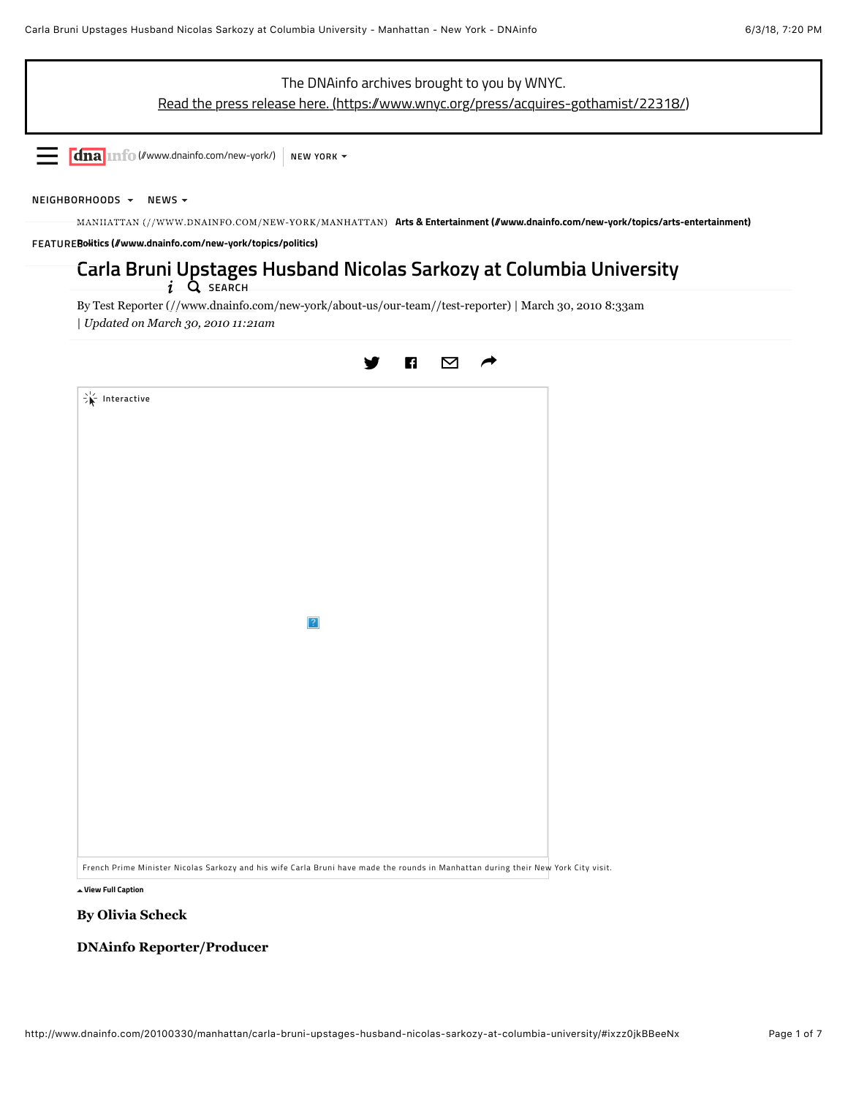

**i** Q SEARCH

By [Test Reporter \(//www.dnainfo.com/new-york/about-us/our-team//test-reporter\)](http://www.dnainfo.com/new-york/about-us/our-team//test-reporter) | March 30, 2010 8:33am | *Updated on March 30, 2010 11:21am*



**[View Full Caption](http://www.dnainfo.com/20100330/manhattan/carla-bruni-upstages-husband-nicolas-sarkozy-at-columbia-university/#)**

## **By Olivia Scheck**

## **DNAinfo Reporter/Producer**